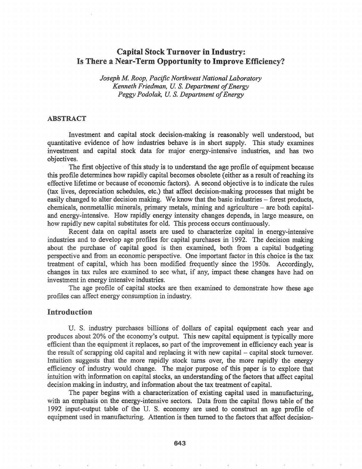# Capital Stock Turnover in Industry: Is There a Near-Term Opportunity to Improve Efficiency?

*Joseph M Roop,. Pacific Northwest National Laboratory Kenneth Friedman, U. S. Department of Energy Peggy Podolak,* U. S. *Department ofEnergy*

#### ABSTRACT

Investment and capital stock decision-making is reasonably well understood, but quantitative evidence of how industries behave is in short supply. This study examines investment and capital stock data for major energy-intensive industries, and has two objectives.

The first objective of this study is to understand the age profile of equipment because this profile determines how rapidly capital becomes obsolete (either as a result of reaching its effective lifetime or because of economic factors). A second objective is to indicate the rules (tax lives, depreciation schedules, etc.) that affect decision-making processes that might be easily changed to alter decision making. We know that the basic industries – forest products,  $chemicals$ , nonmetallic minerals, primary metals, mining and agriculture – are both capitaland energy-intensive. How rapidly energy intensity changes depends, in large measure, on how rapidly new capital substitutes for old. This process occurs continuously.

Recent data on capital assets are used to characterize capital in energy-intensive industries and to develop age profiles for capital purchases in 1992. The decision making about the purchase of capital good is then examined, both from a capital budgeting perspective and from an economic perspective. One important factor in this choice is the tax treatment of capital, which has been modified frequently since the 1950s. Accordingly, changes in tax rules are examined to see what, if any, impact these changes have had on investment in energy intensive industries.

The age profile of capital stocks are then examined to demonstrate how these age profiles can affect energy consumption in industry.

### Introduction

U. S. industry purchases billions of dollars of capital equipment each year and produces about 20% of the economy's output. This new capital equipment is typically more efficient than the equipment it replaces, so part of the improvement in efficiency each year is the result of scrapping old capital and replacing it with new capital - capital stock turnover. Intuition suggests that the more rapidly stock turns over, the more rapidly the energy efficiency of industry would change. The major purpose of this paper is to explore that intuition with information on capital stocks, an understanding of the factors that affect capital decision making in industry, and infonnation about the tax treatment of capital.

The paper begins with a characterization of existing capital used in manufacturing, with an emphasis on the energy-intensive sectors. Data from the capital flows table of the 1992 input-output table of the U. S. economy are used to construct an age profile of equipment used in manufacturing. Attention is then turned to the factors that affect decision-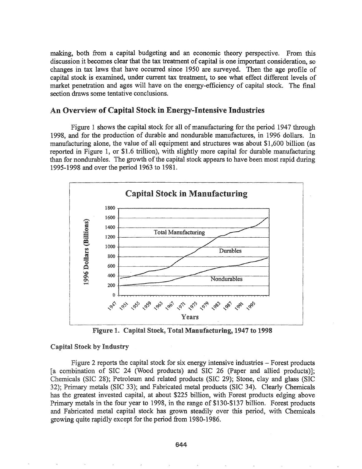making, both from a capital budgeting and an economic theory perspective. From this discussion it becomes clear that the tax treatment of capital is one important consideration, so changes in tax laws that have occurred since 1950 are surveyed. Then the age profile of capital stock is examined, under current tax treatment, to see what effect different levels of market penetration and ages will have on the energy-efficiency of capital stock. The final section draws some tentative conclusions.

## An Overview of Capital Stock in Energy-Intensive Industries

Figure 1 shows the capital stock for all of manufacturing for the period 1947 through 1998, and for the production of durable and nondurable manufactures, in 1996 dollars. In manufacturing alone, the value of all equipment and structures was about \$1,600 billion (as reported in Figure 1, or \$1.6 trillion), with slightly more capital for durable manufacturing than for nondurables. The growth of the capital stock appears to have been most rapid during 1995-1998 and over the period 1963 to 1981.



Figure 1. Capital Stock, Total Manufacturing, 1947 to 1998

#### Capital Stock by Industry

Figure 2 reports the capital stock for six energy intensive industries – Forest products [a combination of SIC 24 (Wood products) and SIC 26 (Paper and allied products)]; Chemicals (SIC 28); Petroleum and related products (SIC 29); Stone, clay and glass (SIC 32); Primary metals (SIC 33); and Fabricated metal products (SIC 34). Clearly Chemicals has the greatest invested capital, at about \$225 billion, with Forest products edging above Primary metals in the four year to 1998, in the range of \$130-\$137 billion. Forest products and Fabricated metal capital stock has grown steadily over this period, with Chemicals growing quite rapidly except for the period from 1980-1986.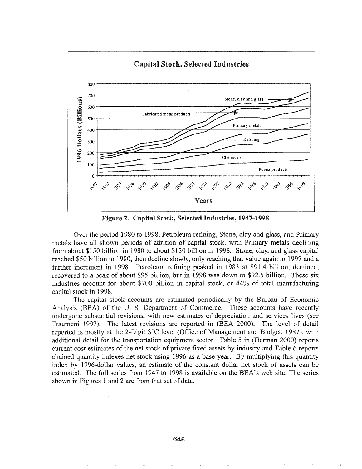

Figure 2. Capital Stock, Selected Industries, 1947-1998

Over the period 1980 to 1998, Petroleum refining, Stone, clay and glass, and Primary metals have all shown periods of attrition of capital stock, with Primary metals declining from about \$150 billion in 1980 to about \$130 billion in 1998. Stone, clay, and glass capital reached \$50 billion in 1980, then decline slowly, only reaching that value again in 1997 and a further increment in 1998. Petroleum refining peaked in 1983 at \$91.4 billion, declined, recovered to a peak of about \$95 billion, but in 1998 was down to \$92.5 billion. These six industries account for about \$700 billion in capital stock, or 44% of total manufacturing capital stock in 1998.

The capital stock accounts are estimated periodically by the Bureau of Economic Analysis (BEA) of the U.S. Department of Commerce. These accounts have recently undergone substantial revisions, with new estimates of depreciation and services lives (see Fraumeni 1997). The latest revisions are reported in (BEA 2000). The level of detail reported is mostly at the 2-Digit SIC level (Office of Management and Budget, 1987), with additional detail for the transportation equipment sector. Table 5 in (Herman 2000) reports current cost estimates of the net stock of private fixed assets by industry and Table 6 reports chained quantity indexes net stock using 1996 as a base year. By multiplying this quantity index by 1996-dollar values, an estimate of the constant dollar net stock of assets can be estimated. The full series from 1947 to 1998 is available on the BEA's web site. The series shown in Figures 1 and 2 are from that set of data.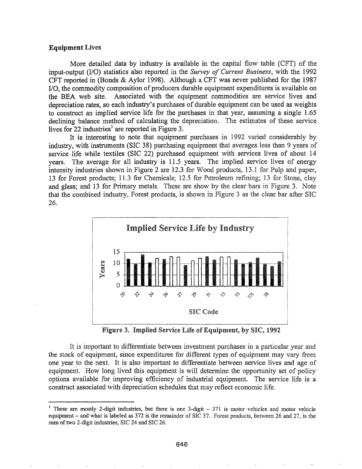#### Equipment Lives

More detailed data by industry is available in the capital flow table (CFT) of the input-output (I/O) statistics also reported in the *Survey of Current Business,* with the 1992 CFT reported in (Bonds & Aylor 1998). Although a CFT was never published for the 1987  $I/O$ , the commodity composition of producers durable equipment expenditures is available on the BEA web site. Associated with the equipment commodities are service lives and depreciation rates, so each industry's purchases of durable equipment can be used as weights to construct an implied service life for the purchases in that year, assuming a single 1.65 declining balance method of calculating the depreciation. The estimates of these service lives for 22 industries<sup>1</sup> are reported in Figure 3.

It is interesting to note that equipment purchases in 1992 varied considerably by industry, with instruments (SIC 38) purchasing equipment that averages less than 9 years of service life while textiles (SIC 22) purchased equipment with services lives of about 14 years. The average for all industry is 11.5 years. The implied service lives of energy intensity industries shown in Figure 2 are  $12.3$  for Wood products,  $13.1$  for Pulp and paper, 13 for Forest products; 11.3 for Chemicals; 12.5 for Petroleum refining; 13 for Stone, clay and glass; and 13 for Primary metals. These are show by the clear bars in Figure 3. Note that the combined industry, Forest products, is shown in Figure 3 as the clear bar after SIC 26.



Figure 3. Implied Service Life of Equipment, by SIC, 1992

It is important to differentiate between investment purchases in a particular year and the stock of equipment, since expenditures for different types of equipment may vary from one year to the next. It is also important to differentiate between service lives and age of equipment. How long lived this equipment is will determine the opportunity set of policy options available for improving efficiency of industrial equipment. The service life is a construct associated with depreciation schedules that may reflect economic life.

<sup>&</sup>lt;sup>1</sup> These are mostly 2-digit industries, but there is one 3-digit  $-371$  is motor vehicles and motor vehicle equipment - and what is labeled as 372 is the remainder of SIC 37. Forest products, between 26 and 27, is the sum of two 2-digit industries, SIC 24 and SIC 26.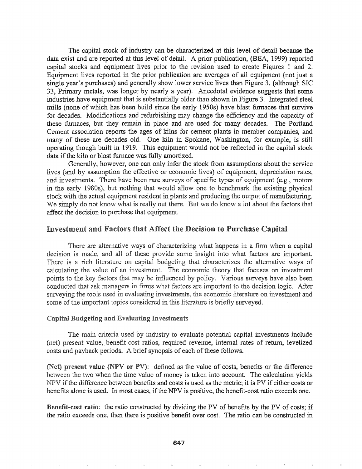The capital stock of industry can be characterized at this level of detail because the data exist and are reported at this level of detail. A prior publication, (BEA, 1999) reported capital stocks and equipment lives prior to the revision used to create Figures 1 and 2. Equipment lives reported in the prior publication are averages all equipment (not just a single year's purchases) and generally show lower service lives than Figure 3, (although SIC 33, Primary metals, was longer by nearly a year). Anecdotal evidence suggests that some industries have equipment that is substantially older than shown in Figure 3. Integrated steel mills (none of which has been build since the early 1950s) have blast furnaces that survive for decades. Modifications and refurbishing may change the efficiency and the capacity of these furnaces, but they remain in place and are used for many decades. The Portland Cement association reports the ages of kilns for cement plants in member companies, and many of these are decades old. One kiln in Spokane, Washington, for example, is still operating though built in 1919. This equipment would not be reflected in the capital stock data if the kiln or blast furnace was fully amortized.

Generally, however, one can only infer the stock from assumptions about the service lives (and by assumption the effective or economic lives) of equipment, depreciation rates, and investments. There have been rare surveys of specific types of equipment (e.g., motors in the early 1980s), but nothing that would allow one to benchmark the existing physical stock with the actual equipment resident in plants and producing the output of manufacturing. We simply do not know what is really out there. But we do know a lot about the factors that affect the decision to purchase that equipment.

### Investment and Factors that Affect the Decision to Purchase Capital

There are alternative ways of characterizing what happens in a firm when a capital decision is made, and all of these provide some insight into what factors are important. There is a rich literature on capital budgeting that characterizes the alternative ways of calculating the value of an investment. The economic theory that focuses on investment points to the key factors that may be influenced by policy. Various surveys have also been conducted that ask managers in firms what factors are important to the decision logic. After surveying the tools used in evaluating investments, the economic literature on investment and some of the important topics considered in this literature is briefly surveyed.

#### **Capital Budgeting and Evaluating Investments**

The main criteria used by industry to evaluate potential capital investments include (net) present value, benefit-cost ratios, required revenue, internal rates of return, levelized costs and payback periods. A brief synopsis of each of these follows.

(Net) present value (NPV or PV): defined as the value of costs, benefits or the difference between the two when the time value of money is taken into account. The calculation yields NPV if the difference between benefits and costs is used as the metric; it is PV if either costs or benefits alone is used. In most cases, if the NPV is positive, the benefit-cost ratio exceeds one.

Benefit-cost ratio: the ratio constructed by dividing the PV of benefits by the PV of costs; if the ratio exceeds one, then there is positive benefit over cost. The ratio can be constructed in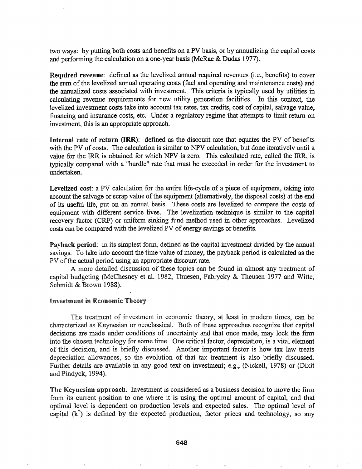two ways: by putting both costs and benefits on a PV basis, or by annualizing the capital costs and performing the calculation on a one-year basis (McRae & Dudas 1977).

Required revenue: defined as the levelized annual required revenues (i.e., benefits) to cover the sum of the levelized annual operating costs (fuel and operating and maintenance costs) and the annualized costs associated with investment. This criteria is typically used by utilities in calculating revenue requirements for new utility generation facilities. In this context, the levelized investment costs take into account tax rates, tax credits, cost of capital, salvage value, financing and insurance costs, etc. Under a regulatory regime that attempts to limit return on investment, this is an appropriate approach.

Internal rate of return (IRR): defined as the discount rate that equates the'PV of benefits with the PV of costs. The calculation is similar to NPV calculation, but done iteratively until a value for the IRR is obtained for which NPV is zero. This calculated rate, called the IRR, is typically compared with a "hurdle" rate that must be exceeded in order for the investment to undertaken.

Levelized cost: a PV calculation for the entire life-cycle of a piece of equipment, taking into account the salvage or scrap value of the equipment (alternatively, the disposal costs) at the end of its useful life, put on an annual basis. These costs are levelized to compare the costs of equipment with different service lives. The levelization technique is similar to the capital recovery factor (CRF) or uniform sinking fund method used in other approaches.. Levelized costs can be compared with the levelized PV of energy savings or benefits..

Payback period: in its simplest form, defined as the capital investment divided by the annual savings. To take into account the time value of money, the payback period is calculated as the PV of the actual period using an appropriate discount rate.

A more detailed discussion of these topics can be found in almost any treatment of capital budgeting (McChesney et al. 1982, Thuesen, Fabrycky & Theusen 1977 and Witte, Schmidt & Brown 1988).

#### **Investment in Economic Theory**

The treatment of investment in economic theory, at least in modern times, can be characterized as Keynesian or neoclassical. Both of these approaches recognize that capital decisions are made under conditions of uncertainty and that once made, may lock the firm into the chosen technology for some time. One critical factor, depreciation, is a vital element of this decision, and is briefly discussed. Another important factor is how tax law treats depreciation allowances, so the evolution of that tax treatment is also briefly discussed. Further details are available in any good text on investment; e.g., (Nickell, 1978) or (Dixit and Pindyck, 1994).

The Keynesian approach. Investment is considered as a business decision to move the firm from its current position to one where it is using the optimal amount of capital, and that optimal level is dependent on production levels and expected sales. The optimal level of capital  $(k^*)$  is defined by the expected production, factor prices and technology, so any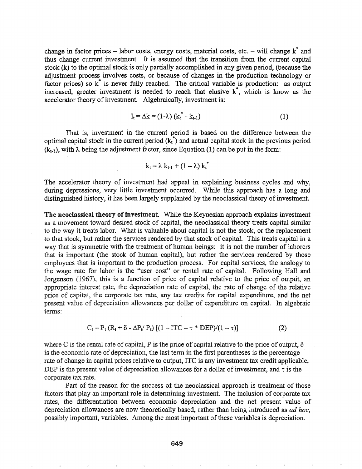change in factor prices – labor costs, energy costs, material costs, etc. – will change  $k^*$  and thus change current investment. It is assumed that the transition from the current capital stock (k) to the optimal stock is only partially accomplished in any given period, (because the adjustment process involves costs, or because of changes in the production technology or factor prices) so  $k^*$  is never fully reached. The critical variable is production: as output increased, greater investment is needed to reach that elusive  $\kappa^*$ , which is know as the accelerator theory of investment. Algebraically, investment is:

$$
I_t = \Delta k = (1 - \lambda) (k_t^* - k_{t-1})
$$
\n(1)

That is, investment in the current period is based on the difference between the optimal capital stock in the current period  $(k<sub>t</sub><sup>*</sup>)$  and actual capital stock in the previous period  $(k_{t-1})$ , with  $\lambda$  being the adjustment factor, since Equation (1) can be put in the form:

$$
k_t = \lambda k_{t-1} + (1 - \lambda) k_t^*
$$

The accelerator theory of investment had appeal in explaining business cycles and why, during depressions, very little investment occurred.. While this approach has a long and distinguished history, it has been largely supplanted by the neoclassical theory of investment.

The neoclassical theory of investment. While the Keynesian approach explains investment as a movement toward desired stock of capital, the neoclassical theory treats capital similar to the way it treats labor. What is valuable about capital is not the stock, or the replacement to that stock, but rather the services rendered by that stock of capital. This treats capital in a way that is symmetric with the treatment of human beings: it is not the number of laborers that is important (the stock of human capital), but rather the services rendered by those employees that is important to the production process.. For capital services, the analogy to the wage rate for labor is the "user cost" or rental rate of capital. Following Hall and Jorgenson (1967), this is a function of price of capital relative to the price of output, an appropriate interest rate, the depreciation rate of capital, the rate of change of the relative price of capital, the corporate tax rate, any tax credits for capital expenditure, and the net present value of depreciation allowances per dollar of expenditure on capital. In algebraic terms:

$$
C_{t} = P_{t} (R_{t} + \delta - \Delta P_{t} / P_{t}) [(1 - ITC - \tau * DEP)/(1 - \tau)]
$$
 (2)

where C is the rental rate of capital, P is the price of capital relative to the price of output,  $\delta$ is the economic rate of depreciation, the last term in the first parentheses is the percentage rate of change in capital prices relative to output, ITC is any investment tax credit applicable, DEP is the present value of depreciation allowances for a dollar of investment, and  $\tau$  is the corporate tax rate.

Part of the reason for the success of the neoclassical approach is treatment of those factors that play an important role in determining investment. The inclusion of corporate tax rates, the differentiation between economic depreciation and the net present value of depreciation allowances are now theoretically based, rather than being introduced as *ad hoc,* possibly important, variables. Among the most important of these variables is depreciation.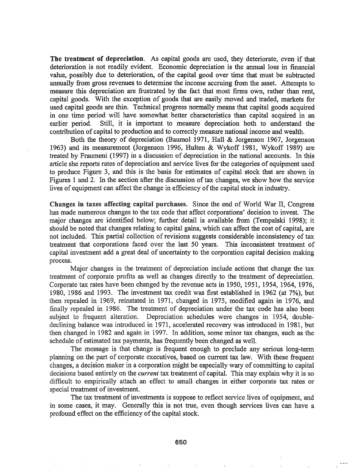The treatment of depreciation. As capital goods are used, they deteriorate, even if that deterioration is not readily evident. Economic depreciation is the annual loss in financial value, possibly due to deterioration, of the capital good over time that must be subtracted annually from gross revenues to determine the income accruing from the asset. Attempts to measure this depreciation are frustrated by the fact that most finns own, rather than rent, capital goods. With the exception of goods that are easily moved and traded, markets for used capital goods are thin. Technical progress normally means that capital goods acquired in one time period will have somewhat better characteristics than capital acquired in an earlier period. Still, it is important to measure depreciation both to understand the contribution of capital to production and to correctly measure national income and wealth.

Both the theory of depreciation (Baumol 1971, Hall & Jorgenson 1967, Jorgenson 1963) and its measurement (Jorgenson 1996, Hulten & Wykoff 1981, Wykoff 1989) are treated by Fraumeni (1997) in a discussion of depreciation in the national accounts. In this article she reports rates of depreciation and service lives for the categories of equipment used to produce Figure 3, and this is the basis for estimates of capital stock that are shown in Figures 1 and 2. In the section after the discussion of tax changes, we show how the service lives of equipment can affect the change in efficiency of the capital stock in industry.

Changes in taxes affecting capital purchases. Since the end of World War II, Congress has made numerous changes to the tax code that affect corporations' decision to invest. The major changes are identified below; further detail is available from (Tempalski 1998); it should be noted that changes relating to capital gains, which can affect the cost of capital, are not included. This partial collection of revisions suggests considerable inconsistency of tax treatment that corporations faced over the last 50 years. This inconsistent treatment of capital investment add a great deal of uncertainty to the corporation capital decision making process.

Major changes in the treatment of depreciation include. actions that change the tax treatment of corporate profits as well as changes directly to the treatment of depreciation. Corporate tax rates have been changed by the revenue acts in 1950, 1951, 1954, 1964, 1976, 1980, 1986 and 1993.. The investment tax credit was first established in 1962 (at 7%), but then repealed in 1969, reinstated in 1971, changed in 1975, modified again in 1976, and finally repealed in 1986. The treatment of depreciation under the tax code has also been subject to frequent alteration. Depreciation schedules were changes in 1954, doubledeclining balance was introduced in 1971, accelerated recovery was introduced in 1981, but then changed in 1982 and again in 1997. In addition, some minor tax changes, such as the schedule of estimated tax payments, has frequently been changed as well..

The message is that change is frequent enough to preclude any serious long-term planning on the part of corporate executives, based on current tax law. With these frequent changes, a decision maker in a corporation might be especially wary of committing to capital decisions based entirely on the *current* tax treatment of capital. This may explain why it is so difficult to empirically attach an effect to small changes in either corporate tax rates or special treatment of investment.

The tax treatment of investments is suppose to reflect service lives of equipment, and in some cases, it may. Generally this is not true, even though services lives can have a profound effect on the efficiency of the capital stock.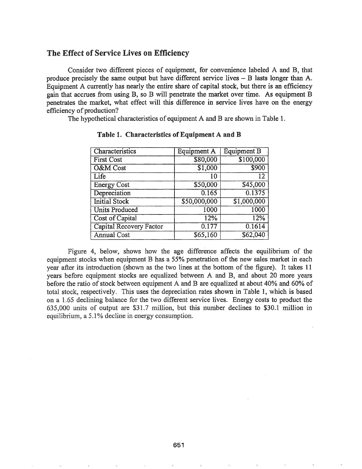## The Effect of Service Lives on Efficiency

Consider two different pieces of equipment, for convenience labeled A and B, that produce precisely the same output but have different service lives - B lasts longer than A. Equipment A currently has nearly the entire share of capital stock, but there is an efficiency gain that accrues from using B, so B will penetrate the market over time. As equipment B penetrates the market, what effect will this difference in service lives have on the energy efficiency of production?

The hypothetical characteristics of equipment A and B are shown in Table 1.

| Characteristics         | <b>Equipment A</b> | <b>Equipment B</b> |
|-------------------------|--------------------|--------------------|
| <b>First Cost</b>       | \$80,000           | \$100,000          |
| O&M Cost                | \$1,000            | \$900              |
| Life                    | 10                 | $\overline{12}$    |
| <b>Energy Cost</b>      | \$50,000           | \$45,000           |
| Depreciation            | 0.165              | 0.1375             |
| <b>Initial Stock</b>    | \$50,000,000       | \$1,000,000        |
| <b>Units Produced</b>   | 1000               | 1000               |
| Cost of Capital         | 12%                | 12%                |
| Capital Recovery Factor | 0.177              | 0.1614             |
| <b>Annual Cost</b>      | \$65,160           | \$62,040           |

Table 1. Characteristics of Equipment A and B

Figure 4, below, shows how the age difference affects the equilibrium of the equipment stocks when equipment B has a 55% penetration of the new sales market in each year after its introduction (shown as the two lines at the bottom of the figure). It takes 11 years before equipment stocks are equalized between A and B, and about 20 more years before the ratio of stock between equipment A and B are equalized at about 40% and 60% of total stock, respectively. This uses the depreciation rates shown in Table 1, which is based on a 1.65 declining balance for the two different service lives. Energy costs to product the  $635,000$  units of output are \$31.7 million, but this number declines to \$30.1 million in equilibrium, a 5.1% decline in energy consumption.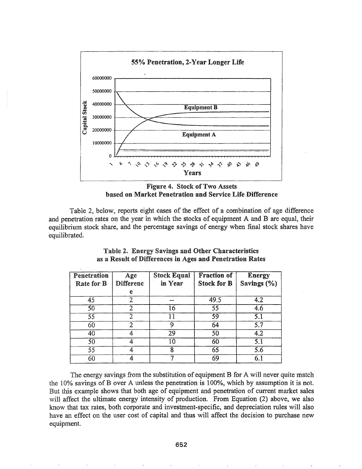



Table 2, below, reports eight cases of the effect of a combination of age difference and penetration rates on the year in which the stocks of equipment A and B are equal, their equilibrium stock share, and the percentage savings of energy when final stock shares have equilibrated.

| Penetration<br><b>Rate for B</b> | Age<br><b>Differenc</b> | <b>Stock Equal</b><br>in Year | <b>Fraction of</b><br><b>Stock for B</b> | <b>Energy</b><br>Savings (%) |
|----------------------------------|-------------------------|-------------------------------|------------------------------------------|------------------------------|
|                                  | е                       |                               |                                          |                              |
| 45                               |                         | 420-009                       | 49.5                                     | 4.2                          |
| 50                               |                         | 16                            | 55                                       | 4.6                          |
| 55                               | 2                       | 11                            | 59                                       | 5.1                          |
| 60                               | 2                       | 9                             | 64                                       | 5.7                          |
| 40                               | 4                       | 29                            | 50                                       | 4.2                          |
| 50                               |                         | 10                            | 60                                       | $\overline{5.1}$             |
| 55                               |                         | 8                             | 65                                       | 5.6                          |
| 60                               |                         |                               | 69                                       | 6.1                          |

## Table 2. Energy Savings and Other Characteristics as a Result of Differences in Ages and Penetration Rates

The energy savings from the substitution of equipment B for A will never quite match the 10% savings of B over A unless the penetration is 100%, which by assumption it is not. But this example shows that both age of equipment and penetration of current market sales will affect the ultimate energy intensity of production. From Equation (2) above, we also know that tax rates, both corporate and investment-specific, and depreciation rules will also have an effect on the user cost of capital and thus will affect the decision to purchase new equipment.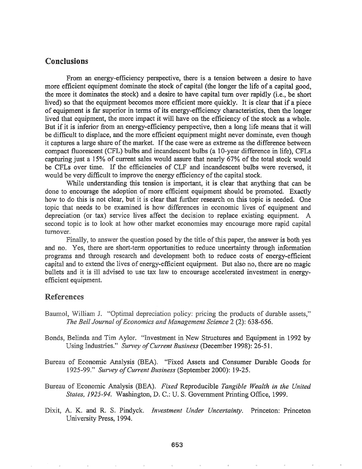## **Conclusions**

From an energy-efficiency perspective, there is a tension between a desire to have more efficient equipment dominate the stock of capital (the longer the life of a capital good, the more it dominates the stock) and a desire to have capital turn over rapidly (i.e., be short lived) so that the equipment becomes more efficient more quickly. It is clear that if a piece of equipment is far superior in terms of its energy-efficiency characteristics, then the longer lived that equipment, the more impact it will have on the efficiency of the stock as a whole. But if it is inferior from an energy-efficiency perspective, then a long life means that it will be difficult to displace, and the more efficient equipment might never dominate, even though it captures a large share of the market. If the case were as extreme as the difference between compact fluorescent (CFL) bulbs and incandescent bulbs (a 10-year difference in life), CFLs capturing just a 15% of current sales would assure that nearly 67% of the total stock would be CFLs over time. If the efficiencies of CLF and incandescent bulbs were reversed, it would be very difficult to improve the energy efficiency of the capital stock.

While understanding this tension is important, it is clear that anything that can be done to encourage the adoption of more efficient equipment should be promoted. Exactly how to do this is not clear, but it is clear that further research on this topic is needed. One topic that needs to be examined is how differences in economic lives of equipment and depreciation (or tax) service lives affect the decision to replace existing equipment. A second topic is to look at how other market economies may encourage more rapid capital turnover.

Finally, to answer the question posed by the title of this paper, the answer is both yes and no. Yes, there are short-term opportunities to reduce uncertainty through information programs and through research and development both to reduce costs of energy-efficient capital and to extend the lives of energy-efficient equipment. But also no, there are no magic bullets and it is ill advised to use tax law to encourage accelerated investment in energyefficient equipment.

## **References**

- Baumol, William J. "Optimal depreciation policy: pricing the products of durable assets," The Bell Journal of Economics and Management Science 2 (2): 638-656.
- Bonds, Belinda and Tim Aylor. "Investment in New Structures and Equipment in 1992 by Using Industries." Survey of Current Business (December 1998): 26-51.
- Bureau of Economic Analysis (BEA). "Fixed Assets and Consumer Durable Goods for 1925-99." Survey of Current Business (September 2000): 19-25.
- Bureau of Economic Analysis (BEA). Fixed Reproducible Tangible Wealth in the United States, 1925-94. Washington, D. C.: U. S. Government Printing Office, 1999.
- Dixit, A. K. and R. S. Pindyck. Investment Under Uncertainty. Princeton: Princeton University Press, 1994.